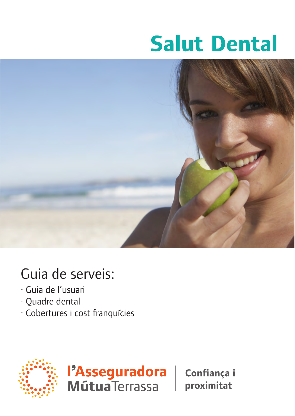# **Salut Dental**



# Guia de serveis:

- · Guia de l'usuari
- -Guia de l'usuari · Quadre dental
- · Cobertures i cost franquícies





Confiança i proximitat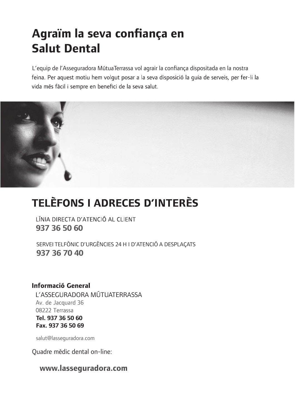# Agraïm la seva confiança en **Salut Dental**

L'equip de l'Assequradora MútuaTerrassa vol agrair la confiança dispositada en la nostra feina. Per aquest motiu hem volgut posar a la seva disposició la quia de serveis, per fer-li la vida més fàcil i sempre en benefici de la seva salut.



# **TELÈFONS I ADRECES D'INTERÈS**

LÍNIA DIRECTA D'ATENCIÓ AL CLIENT **937 36 50 60**

**937 36 70 40** SERVEI TELFÒNIC D'URGÈNCIES 24 H I D'ATENCIÓ A DESPLAÇATS

# **Informació General**

L'ASSEGURADORA MÚTUATERRASSA Av. de Jacquard 36 08222 Terrassa **Tel. 937 36 50 60 Fax. 937 36 50 69**

salut@lasseguradora.com

Quadre mèdic dental on-line:

# **www.lasseguradora.com**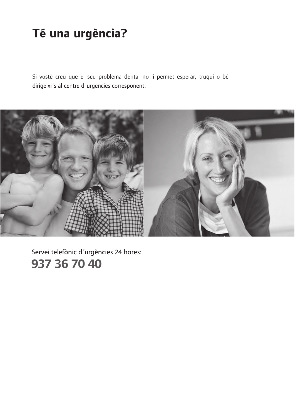# Té una urgència?

Si vostè creu que el seu problema dental no li permet esperar, truqui o bé dirigeixi<sup>-</sup>s al centre d'urgències corresponent.



Servei telefònic d'urgències 24 hores: 937 36 70 40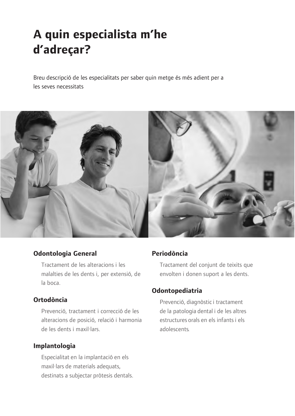# **A quin especialista m'he** d'adreçar?

Breu descripció de les especialitats per saber quin metge és més adient per a les seves necessitats



# **Odontologia General**

Tractament de les alteracions i les malalties de les dents i, per extensió, de la boca.

# **Ortodòncia**

Prevenció, tractament i correcció de les alteracions de posició, relació i harmonia de les dents i maxil·lars.

# **Implantologia**

Especialitat en la implantació en els maxil·lars de materials adequats, destinats a subjectar pròtesis dentals.

# **Periodòncia**

Tractament del conjunt de teixits que envolten i donen suport a les dents.

# **Odontopediatria**

Prevenció, diagnòstic i tractament de la patologia dental i de les altres estructures orals en els infants i els adolescents.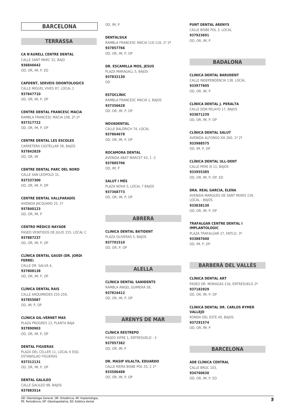#### **BARCELONA**

#### **TERRASSA**

**CA N'AURELL CENTRE DENTAL** CALLE SANT MARC 52, BAJO **936846642** OD, OR, IM, P, ED

**CAPDENT, SERVEIS ODONTOLOGICS** CALLE MIGUEL VIVES 87, LOCAL 1 **937847710** OD, OR, IM, P, OP

**CENTRE DENTAL FRANCESC MACIA** RAMBLA FRANCESC MACIA 108, 2º 1ª **937317722** OD, OR, IM, P, OP

**CENTRE DENTAL LES ESCOLES** CARRETERA CASTELLAR 38, BAJOS **937842829** OD, OR, IM

**CENTRE DENTAL PARC DEL NORD** CALLE SAN LEOPOLD 31, **937337300** OD, OR, IM, P, OP

**CENTRE DENTAL VALLPARADÍS** AVENIDA JACQUARD 25, 1º **937840123** OD, OR, IM, P

**CENTRO MÉDICO NAYADE** PASEO VEINTIDOS DE JULIO 155, LOCAL C **937887237** OD, OR, IM, P, OP

**CLÍNICA DENTAL GAUDÍ (DR. JORDI FERRE)** CALLE DR. SALVA 4, **937808138** OD, OR, IM, P, OP

**CLÍNICA DENTAL RAIS** CALLE ARQUIMEDES 255-259, **937855087** OD, IM, P, OP

**CLÍNICA GIL-VERNET MAS** PLAZA PROGRES 13, PLANTA BAJA **937890903** OD, OR, IM, P, OP

**DENTAL FIGUERAS** PLAZA DEL CELLER 11, LOCAL 6 ESQ. ESTANISLAO FIGUERAS **937312131** OD, OR, IM, P, OP

**DENTAL GALILEO** CALLE GALILEO 98, BAJOS **937883514**

OD, IM, P

**DENTALSILK** RAMBLA FRANCESC MACIA 116-118, 1º 2ª **937857766** OD, OR, IM, P, OP

**DR. ESCAMILLA MOS, JESUS** PLAZA MARAGALL 5, BAJOS **937832130** OD

**ESTOCLÍNIC** RAMBLA FRANCESC MACIÀ 1, BAJOS **937356628** OD, OR, IM, P, OP

**NOVADENTAL** CALLE BALDRICH 74, LOCAL **937864678** OD, OR, IM, P, OP

**ROCAMORA DENTAL** AVENIDA ABAT MARCET 43, 1 -2 **937885706** OD, IM, P

**SALUT I MÉS** PLAZA NOVA 5, LOCAL 7 BAJOS **937368773** OD, OR, IM, P, OP

#### **ABRERA**

**CLINICA DENTAL BATIDENT** PLAZA OLIVERAS 5, BAJOS **937701510** OD, OR, P, OP

#### **ALELLA**

**CLÍNICA DENTAL SANIDENTS** RAMBLA ÀNGEL GUIMERÀ 58, **937824412** OD, OR, IM, P, OP

#### **ARENYS DE MAR**

**CLÍNICA RESTREPO** PASEO XIFRE 1, ENTRESUELO - 3 **937957382** OD, OR, IM, P

**DR. MASIP VILALTA, EDUARDO** CALLE RIERA BISBE POL 33, 2 1º **933506488** OD, OR, IM, P, OP

**PUNT DENTAL ARENYS** CALLE BISBE POL 3, LOCAL **937923691** OD, OR, IM, P

#### **BADALONA**

**CLINICA DENTAL BARUDENT** CALLE INDEPENDENCIA 138, LOCAL **933977605** OD, OR, IM, P

**CLÍNICA DENTAL J. PERALTA** CALLE DON PELAYO 17, BAJOS **933871239** OD, OR, IM, P, OP

**CLÍNICA DENTAL SALUT** AVENIDA ALFONSO XIII 260, 1º 2ª **933988575** OD, IM, P, OP

**CLÍNICA DENTAL ULL-DENT** CALLE PERE III 11, BAJOS **933955385** OD, OR, IM, P, OP, ED

**DRA. REAL GARCIA, ELENA** AVENIDA MARQUES DE SANT MORIS 159, LOCAL - BAJOS **933838130** OD, OR, IM, P, OP

**TRAFALGAR CENTRE DENTAL I IMPLANTOLOGIC** PLAZA TRAFALGAR 27, ENTLO. 3ª **933887040** OD, IM, P, OP

#### **BARBERÀ DEL VALLÈS**

**CLÍNICA DENTAL ART** PASEO DR. MORAGAS 216, ENTRESUELO 2ª **937182929** OD, OR, IM, P, OP

**CLÍNICA DENTAL DR. CARLOS RYMER VALLEJO** RONDA DEL ESTE 40, BAJOS **937291574** OD, OR, IM, P

#### **BARCELONA**

**ADE CLÍNICA CENTRAL** CALLE BRUC 103, **934760630** OD, OR, IM, P, ED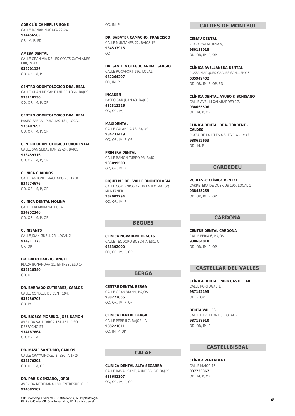**ADE CLÍNICA HEPLER BONE** CALLE ROMAN MACAYA 22-24, **934456565** OR, IM, P, ED

**AMESA DENTAL** CALLE GRAN VIA DE LES CORTS CATALANES 680, 2ª 4ª **932701136** OD, OR, IM, P

**CENTRO ODONTOLOGICO DRA. REAL** CALLE GRAN DE SANT ANDREU 366, BAJOS **933118130** OD, OR, IM, P, OP

**CENTRO ODONTOLOGICO DRA. REAL** PASEO FABRA I PUIG 129-131, LOCAL **933407692** OD, OR, IM, P, OP

**CENTRO ODONTOLOGICO EURODENTAL** CALLE SAN SEBASTIAN 22-24, BAJOS **933459316** OD, OR, IM, P, OP

**CLÍNICA CUADROS** CALLE ANTONIO MACHADO 20, 1º 3ª **934274676** OD, OR, IM, P, OP

**CLÍNICA DENTAL MOLINA** CALLE CALABRIA 94, LOCAL **934252346** OD, OR, IM, P, OP

**CLINISANTS** CALLE JOAN GÜELL 26, LOCAL 2 **934911175** OR, OP

**DR. BAITO BARRIO, ANGEL** PLAZA BONANOVA 11, ENTRESUELO 1º **932118340** OD, OR

**DR. BARRADO GUTIERREZ, CARLOS** CALLE CONSELL DE CENT 194, **933230702** OD, IM, P

**DR. BIOSCA MORENO, JOSE RAMON** AVENIDA VALLCARCA 151-161, PISO 1 DESPACHO 57 **934187864** OD, OR, IM

**DR. MASIP SANTURIO, CARLOS** CALLE CRAYWINCKEL 2, ESC. A 1º 2ª **934170294** OD, OR, IM, OP

**DR. PARIS CENZANO, JORDI** AVENIDA MERIDIANA 180, ENTRESUELO - 6 **934085107**

OD, IM, P

**DR. SABATER CAMACHO, FRANCISCO** CALLE MUNTANER 22, BAJOS 1ª **934537915** OD

**DR. SEVILLA OTEGUI, ANIBAL SERGIO** CALLE ROCAFORT 196, LOCAL **932264207** OD, IM, P

**INCADEN** PASEO SAN JUAN 48, BAJOS **932311216** OD, OR, IM, P

**MAXIDENTAL** CALLE CALABRIA 73, BAJOS **934233419** OD, OR, IM, P, OP

**PRIMERA DENTAL** CALLE RAMON TURRO 93, BAJO **933099509** OD, OR, IM, P

**RIQUELME DEL VALLE ODONTOLOGIA** CALLE COPERNICO 47, 1º ENTLO. 4ª ESQ. MUNTANER **932002294** OD, OR, IM, P

#### **BEGUES**

**CLÍNICA NOVADENT BEGUES** CALLE TEODORO BOSCH 7, ESC. C **936392000** OD, OR, IM, P, OP

#### **BERGA**

**CENTRE DENTAL BERGA** CALLE GRAN VIA 99, BAJOS **938222055** OD, OR, IM, P, OP

**CLÍNICA DENTAL BERGA** CALLE PERE II 7, BAJOS - A **938221011** OD, IM, P, OP

#### **CALAF**

**CLÍNICA DENTAL ALTA SEGARRA** CALLE RAVAL SANT JAUME 35, BIS BAJOS **938681307** OD, OR, IM, P, OP

#### **CALDES DE MONTBUI**

**CEMAV DENTAL** PLAZA CATALUNYA 9, **930138018** OD, OR, IM, P, OP

**CLÍNICA AVELLANEDA DENTAL** PLAZA MARQUES CARLES SANLLEHY 5, **635949402** OD, OR, IM, P, OP, ED

**CLÍNICA DENTAL AYUSO & SCHISANO** CALLE AVEL·LI XALABARDER 17, **938665506** OD, IM, P, OP

**CLÍNICA DENTAL DRA. TORRENT - CALDES** PLAZA DE LA IGLESIA 5, ESC. A - 1º 4ª **938652653** OD, IM, P

#### **CARDEDEU**

**POBLESEC CLÍNICA DENTAL** CARRETERA DE DOSRIUS 190, LOCAL 1 **938455259** OD, OR, IM, P, OP

#### **CARDONA**

**CENTRE DENTAL CARDONA** CALLE FERIA 6, BAJOS **938684018** OD, OR, IM, P, OP

#### **CASTELLAR DEL VALLÈS**

**CLÍNICA DENTAL PARK CASTELLAR** CALLE PORTUGAL 1. **937142195** OD, P, OP

**DENTA VALLES** CALLE BARCELONA 5, LOCAL 2 **937158910** OD, OR, IM, P

#### **CASTELLBISBAL**

**CLÍNICA PENTADENT** CALLE MAJOR 15, **937723367** OD, IM, P, OP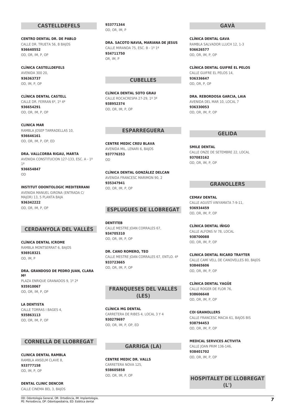#### **CASTELLDEFELS**

**CENTRO DENTAL DR. DE PABLO** CALLE DR. TRUETA 56, B BAJOS **936640552** OD, OR, IM, P, OP

**CLÍNICA CASTELLDEFELS** AVENIDA 300 20, **936363737** OD, IM, P, OP

**CLÍNICA DENTAL CASTELL** CALLE DR. FERRAN 6º, 1º 4ª **936654291** OD, OR, IM, P, OP

**CLINICA MAR** RAMBLA JOSEP TARRADELLAS 10, **936646161** OD, OR, IM, P, OP, ED

**DRA. VALLCORBA RIGAU, MARTA** AVENIDA CONSTITUCION 127-133, ESC. A - 1º 1ª **936654847**

OD

**INSTITUT ODONTOLOGIC MEDITERRANI** AVENIDA MANUEL GIRONA (ENTRADA C/ MAJOR) 13, 5 PLANTA BAJA **936342222** OD, OR, IM, P, OP

#### **CERDANYOLA DEL VALLÈS**

**CLÍNICA DENTAL ICROME** RAMBLA MONTSERRAT 6, BAJOS **936918321** OD, IM, P

**DRA. GRANDOSO DE PEDRO JUAN, CLARA Mª** PLAZA ENRIQUE GRANADOS 9, 1º 2ª **935910067** OD, OR, IM, P, OP

**LA DENTISTA** CALLE TORRAS I BAGES 4, **935863113** OD, OR, IM, P, OP

#### **CORNELLÀ DE LLOBREGAT**

**CLINICA DENTAL RAMBLA** RAMBLA ANSELM CLAVE 8, **933777158** OD, IM, P, OP

**DENTAL CLINIC DENCOR** CALLE CINEMA BEL 3, BAJOS **933771344** OD, OR, IM, P

**DRA. SACOTO NAVIA, MARIANA DE JESUS** CALLE MIRANDA 75, ESC. B - 1º 1ª **934711750** OR, IM, P

#### **CUBELLES**

**CLÍNICA DENTAL SOTO GRAU** CALLE ROCACRESPA 27-29, 1º 3ª **938952374** OD, OR, IM, P, OP

#### **ESPARREGUERA**

**CENTRE MEDIC CREU BLAVA** AVENIDA MIL. LENARI 6, BAJOS **937776353** OD

**CLÍNICA DENTAL GONZÁLEZ DELCAN** AVENIDA FRANCESC MARIMON 90, 2 **935347941** OD, OR, IM, P, OP

#### **ESPLUGUES DE LLOBREGAT**

**DENTITEB** CALLE MESTRE JOAN CORRALES 67, **934705310** OD, OR, IM, P, OP

**DR. CANO ROMERO, TEO** CALLE MESTRE JOAN CORRALES 67, ENTLO. 4ª **933723665** OD, OR, IM, P, OP

#### **FRANQUESES DEL VALLÈS (LES)**

**CLÍNICA MG DENTAL** CARRETERA DE RIBES 4, LOCAL 3 Y 4 **930279697** OD, OR, IM, P, OP, ED

#### **GARRIGA (LA)**

**CENTRE MEDIC DR. VALLS** CARRETERA NOVA 125, **938605858** OD, OR, IM, P, OP

#### **GAVÀ**

**CLÍNICA DENTAL GAVA** RAMBLA SALVADOR LLUCH 12, 1-3 **936626577** OD, OR, IM, P, OP

**CLÍNICA DENTAL GUIFRÉ EL PELOS** CALLE GUIFRE EL PELOS 14, **936336647** OD, OR, P, OP

**DRA. REBORDOSA GARCIA, LAIA** AVENIDA DEL MAR 10, LOCAL 7 **936330053** OD, OR, IM, P, OP

#### **GELIDA**

**SMILE DENTAL** CALLE ONZE DE SETEMBRE 22, LOCAL **937083162** OD, OR, IM, P, OP

#### **GRANOLLERS**

**CEMAV DENTAL** CALLE AGUSTÍ VINYAMATA 7-9-11, **936934459** OD, OR, IM, P, OP

**CLÍNICA DENTAL IÑIGO** CALLE ALFONS IV 78, LOCAL **938700088** OD, OR, IM, P, OP

**CLINICA DENTAL RICARD TRAYTER** CALLE CAMÍ VELL DE CANOVELLES 80, BAJOS **938465606** OD, OR, IM, P, OP

**CLÍNICA DENTAL YAGÜE** CALLE ROGER DE FLOR 76, **938606648** OD, OR, IM, P, OP

**COI GRANOLLERS** CALLE FRANCESC MACIA 61, BAJOS BIS **938794453** OD, OR, IM, P, OP

**MEDICAL SERVICES ACTIVITA** CALLE JOAN PRIM 136-146, **938401702** OD, OR, IM, P, OP

#### **HOSPITALET DE LLOBREGAT (L')**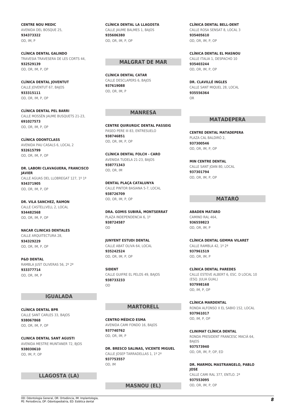**CENTRE NOU MEDIC** AVENIDA DEL BOSQUE 25, **934373322** OD, IM, P

**CLÍNICA DENTAL GALINDO** TRAVESIA TRAVESERA DE LES CORTS 44, **932529139** OD, OR, IM, P, OP

**CLÍNICA DENTAL JOVENTUT** CALLE JOVENTUT 67, BAJOS **933315111** OD, OR, IM, P, OP

**CLÍNICA DENTAL PEL BARRI** CALLE MOSSÈN JAUME BUSQUETS 21-23, **691027573** OD, OR, IM, P, OP

**CLÍNICA ODONTCLASS** AVENIDA PAU CASALS 6, LOCAL 2 **932615799** OD, OR, IM, P, OP

**DR. LABORI CLAVAGUERA, FRANCISCO JAVIER** CALLE AGUAS DEL LLOBREGAT 127, 1º 1ª **934371905** OD, OR, IM, P, OP

**DR. VILA SANCHEZ, RAMON** CALLE CASTELLVELL 2, LOCAL **934482568** OD, OR, IM, P, OP

**NACAR CLINICAS DENTALES** CALLE ARQUITECTURA 28, **934329229** OD, OR, IM, P, OP

**P&D DENTAL** RAMBLA JUST OLIVERAS 56, 2º 2ª **933377714** OD, OR, IM, P

#### **IGUALADA**

**CLÍNICA DENTAL BPR** CALLE SANT CARLES 33, BAJOS **938067868** OD, OR, IM, P, OP

**CLINICA DENTAL SANT AGUSTI** AVENIDA MESTRE MUNTANER 72, BJOS **938030610** OD, IM, P, OP

#### **LLAGOSTA (LA)**

**CLÍNICA DENTAL LA LLAGOSTA** CALLE JAUME BALMES 1, BAJOS **935606380** OD, OR, IM, P, OP

#### **MALGRAT DE MAR**

**CLÍNICA DENTAL CATAR** CALLE DESCLAPERS 6, BAJOS **937619088** OD, OR, IM, P

#### **MANRESA**

**CENTRE QUIRURGIC DENTAL PASSEIG** PASEO PERE III 83, ENTRESUELO **938746851** OD, OR, IM, P, OP

**CLÍNICA DENTAL FOLCH - CARO** AVENIDA TUDELA 21-23, BAJOS **938771343** OD, OR, IM

**DENTAL PLAÇA CATALUNYA** CALLE PINTOR BASIANA 5-7, LOCAL **938726709** OD, OR, IM, P, OP

**DRA. GOMIS SUBIRÁ, MONTSERRAT** PLAZA INDEPENDENCIA 6, 1º **938724587** OD

**JUNYENT ESTUDI DENTAL** CALLE ABAT OLIVA 64, LOCAL **935242524** OD, OR, IM, P, OP

**SIDENT** CALLE GUIFRE EL PELOS 49, BAJOS **938733233** OD

#### **MARTORELL**

**CENTRO MÉDICO ESMA** AVENIDA CAMI FONDO 16, BAJOS **937740762** OD, OR, IM, P

**DR. BRESCO SALINAS, VICENTE MIGUEL** CALLE JOSEP TARRADELLAS 1, 1º 2ª **937753557** OD, IM

#### **MASNOU (EL)**

**CLÍNICA DENTAL BELL-DENT** CALLE ROSA SENSAT 8, LOCAL 3 **935405610**

OD, OR, IM, P, OP

**CLÍNICA DENTAL EL MASNOU** CALLE ITALIA 1, DESPACHO 10 **935403244** OD, OR, IM, P, OP

**DR. CLAVILLÉ INGLES** CALLE SANT MIQUEL 28, LOCAL **935556364** OR

#### **MATADEPERA**

**CENTRE DENTAL MATADEPERA** PLAZA CAL BALDIRÓ 2, **937300546** OD, OR, IM, P, OP

**MIN CENTRE DENTAL** CALLE SANT JOAN 80, LOCAL **937301794** OD, OR, IM, P, OP

#### **MATARÓ**

**ABADEN MATARO** CAMINO RAL 464, **936559823** OD, OR, IM, P

**CLÍNICA DENTAL GEMMA VILARET** CALLE RAMBLA 42, 1º 2ª **937961519** OD, OR, IM, P

**CLÍNICA DENTAL PAREDES** CALLE ESTEVE ALBERT 6, ESC. D LOCAL 10 (ESQ. JULIA GUAL) **937998168** OD, IM, P, OP

**CLÍNICA MARDENTAL** RONDA ALFONSO X EL SABIO 152, LOCAL **937961017** OD, IM, P, OP

**CLINIMAT CLÍNICA DENTAL** RONDA PRESIDENT FRANCESC MACIÀ 64, BAJOS **937573940** OD, OR, IM, P, OP, ED

**DR. MARMOL MASTRANGELO, PABLO JOSE** CALLE CAMI RAL 377, ENTLO. 2ª **937553095** OD, OR, IM, P, OP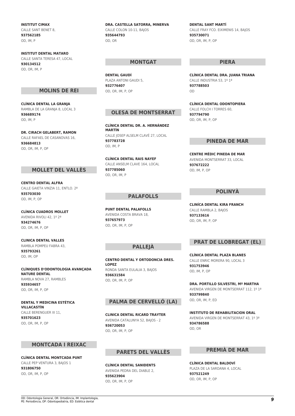**INSTITUT CIMAX** CALLE SANT BENET 8, **937562185** OD, IM, P

**INSTITUT DENTAL MATARO** CALLE SANTA TERESA 47, LOCAL **930134512** OD, OR, IM, P

#### **MOLINS DE REI**

**CLÍNICA DENTAL LA GRANJA** RAMBLA DE LA GRANJA 8, LOCAL 3 **936689174** OD, IM, P

**DR. CIRACH GELABERT, RAMON** CALLE RAFAEL DE CASANOVAS 16, **936684813** OD, OR, IM, P, OP

#### **MOLLET DEL VALLÈS**

**CENTRO DENTAL ALFRA** CALLE GAIETA VINZIA 11, ENTLO. 2ª **935703030** OD, IM, P, OP

**CLÍNICA CUADROS MOLLET** AVENIDA RIVOLI 42, 1º 2ª **934274676** OD, OR, IM, P, OP

**CLINICA DENTAL VALLES** RAMBLA POMPEU FABRA 43, **935793261** OD, IM, OP

**CLÍNIQUES D'ODONTOLOGIA AVANÇADA NATURE DENTAL** RAMBLA NOVA 27, RAMBLES **935934657** OD, OR, IM, P, OP

**DENTAL Y MEDICINA ESTÉTICA VILLACASTÍN** CALLE BERENGUER III 11, **935701623** OD, OR, IM, P, OP

#### **MONTCADA I REIXAC**

**CLÍNICA DENTAL MONTCADA PUNT** CALLE PEP VENTURA 3, BAJOS 1 **931806750** OD, OR, IM, P, OP

**DRA. CASTELLA SATORRA, MINERVA** CALLE COLON 10-11, BAJOS **935644793** OD, OR

#### **MONTGAT**

**DENTAL GAUDÍ** PLAZA ANTONI GAUDI 5, **932776407** OD, OR, IM, P, OP

#### **OLESA DE MONTSERRAT**

**CLÍNICA DENTAL DR. A. HERNÁNDEZ MARTÍN** CALLE JOSEP ALSELM CLAVÉ 27, LOCAL **937783728** OD, IM, P

**CLÍNICA DENTAL RAIS NAYEF** CALLE ANSELM CLAVE 164, LOCAL **937785060** OD, OR, IM, P

#### **PALAFOLLS**

**PUNT DENTAL PALAFOLLS** AVENIDA COSTA BRAVA 18, **937657973** OD, OR, IM, P, OP

#### **PALLEJÀ**

**CENTRO DENTAL Y ORTODONCIA DRES. LOPEZ** RONDA SANTA EULALIA 3, BAJOS **936631584** OD, OR, IM, P, OP

#### **PALMA DE CERVELLÓ (LA)**

**CLINICA DENTAL RICARD TRAYTER** AVENIDA CATALUNYA 52, BAJOS - 2 **936720053** OD, OR, IM, P, OP

#### **PARETS DEL VALLÈS**

**CLÍNICA DENTAL SANIDENTS** AVENIDA PEDRA DEL DIABLE 2, **935623904** OD, OR, IM, P, OP

**DENTAL SANT MARTÍ** CALLE FRAY FCO. EIXIMENIS 14, BAJOS **935730071** OD, OR, IM, P, OP

#### **PIERA**

**CLÍNICA DENTAL DRA. JUANA TRIANA** CALLE INDUSTRIA 53, 1º 1ª **937788503**  $\cap$ 

**CLÍNICA DENTAL ODONTOPIERA** CALLE FOLCH I TORRES 60, **937794790** OD, OR, IM, P, OP

#### **PINEDA DE MAR**

**CENTRE MÉDIC PINEDA DE MAR** AVENIDA MONTSERRAT 33, LOCAL **937672222** OD, IM, P, OP

#### **POLINYÀ**

**CLINÍCA DENTAL KIRA FRANCH** CALLE RAMBLA 2, BAJOS **937133616** OD, OR, IM, P, OP

#### **PRAT DE LLOBREGAT (EL)**

**CLÍNICA DENTAL PLAZA BLANES** CALLE ENRIC MORERA 90, LOCAL 3 **931753946** OD, IM, P, OP

**DRA. PORTILLO SILVESTRI, Mª MARTHA** AVENIDA VIRGEN DE MONTSERRAT 112, 1º 1ª **933799840** OD, OR, IM, P, ED

**INSTITUTO DE REHABILITACION ORAL** AVENIDA VIRGEN DE MONTSERRAT 43, 1º 3ª **934786588** OD, OR

#### **PREMIÀ DE MAR**

**CLÍNICA DENTAL BALDOVÍ** PLAZA DE LA SARDANA 4, LOCAL **937521249** OD, OR, IM, P, OP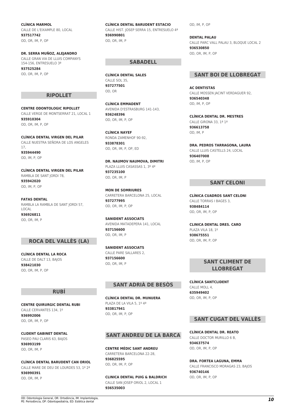**CLÍNICA MARMOL** CALLE DE L'EIXAMPLE 80, LOCAL **937517742** OD, OR, IM, P, OP

**DR. SERRA MUÑOZ, ALEJANDRO** CALLE GRAN VIA DE LLUIS COMPANYS 154-156, ENTRESUELO 3ª **937525284** OD, OR, IM, P, OP

#### **RIPOLLET**

**CENTRE ODONTOLOGIC RIPOLLET** CALLE VERGE DE MONTSERRAT 21, LOCAL 1 **935910304** OD, OR, IM, P, OP

**CLÍNICA DENTAL VIRGEN DEL PILAR** CALLE NUESTRA SEÑORA DE LOS ANGELES 17, **935944490** OD, IM, P, OP

**CLÍNICA DENTAL VIRGEN DEL PILAR** RAMBLA DE SANT JORDI 78, **935942020** OD, IM, P, OP

**FATAS DENTAL** RAMBLA LA RAMBLA DE SANT JORDI 57, LOCAL **936926811** OD, OR, IM, P

#### **ROCA DEL VALLÈS (LA)**

**CLÍNICA DENTAL LA ROCA** CALLE DE DALT 13, BAJOS **938421030** OD, OR, IM, P, OP

#### **RUBÍ**

**CENTRE QUIRURGIC DENTAL RUBI** CALLE CERVANTES 134, 1º **936992006** OD, OR, IM, P, OP

**CLIDENT GABINET DENTAL** PASEO PAU CLARIS 63, BAJOS **936993199** OD, OR, IM, P

**CLÍNICA DENTAL BARUDENT CAN ORIOL**

CALLE MARE DE DEU DE LOURDES 53, 1º 2ª **936990391** OD, OR, IM, P

**CLÍNICA DENTAL BARUDENT ESTACIO** CALLE HIST. JOSEP SERRA 15, ENTRESUELO 4ª **936990801** OD, OR, IM, P

#### **SABADELL**

**CLÍNICA DENTAL SALES** CALLE SOL 35, **937277501** OD, OR

**CLÍNICA EMMADENT** AVENIDA D'ESTRASBURG 141-143, **936248396** OD, OR, IM, P, OP

**CLÍNICA NAYEF** RONDA ZAMENHOF 90-92, **933878301** OD, OR, IM, P, OP, ED

**DR. NAUMOV NAUMOVA, DIMITRI** PLAZA LLUIS CASASSAS 1, 3º 4ª **937235100** OD, OR, IM, P

**MON DE SOMRIURES** CARRETERA BARCELONA 25, LOCAL **937277995** OD, OR, IM, P, OP

**SANIDENT ASSOCIATS** AVENIDA MATADEPERA 141, LOCAL **937156600** OD, OR, IM, P

**SANIDENT ASSOCIATS** CALLE PARE SALLARES 2, **937156600** OD, OR, IM, P

#### **SANT ADRIÀ DE BESÒS**

**CLÍNICA DENTAL DR. MUNUERA** PLAZA DE LA VILA 5, 1º 4ª **933817941** OD, OR, IM, P, OP

#### **SANT ANDREU DE LA BARCA**

**CENTRE MÉDIC SANT ANDREU** CARRETERA BARCELONA 22-28, **936825595** OD, OR, IM, P, OP

**CLINICA DENTAL PUIG & BALDRICH** CALLE SAN JOSEP ORIOL 2, LOCAL 1 **936535003**

OD, IM, P, OP

**DENTAL PALAU** CALLE PARC VALL PALAU 3, BLOQUE LOCAL 2 **936530850** OD, OR, IM, P, OP

#### **SANT BOI DE LLOBREGAT**

**AC DENTISTAS** CALLE MOSSEN JACINT VERDAGUER 92, **936540348** OD, IM, P, OP

**CLÍNICA DENTAL DR. MESTRES** CALLE GIRONA 33, 1ª 1ª **936613758** OD, IM, P

**DRA. PEDROS TARRAGONA, LAURA** CALLE LLUIS CASTELLS 24, LOCAL **936407008** OD, IM, P, OP

#### **SANT CELONI**

**CLÍNICA CUADROS SANT CELONI** CALLE TORRAS I BAGES 3, **938484114** OD, OR, IM, P, OP

**CLINICA DENTAL DRES. CARO** PLAZA VILA 18, 1º **938675551** OD, OR, IM, P, OP

#### **SANT CLIMENT DE LLOBREGAT**

**CLÍNICA SANTCLIDENT** CALLE MOLL 4 **635949402** OD, OR, IM, P, OP

#### **SANT CUGAT DEL VALLÈS**

**CLÍNICA DENTAL DR. REATO** CALLE DOCTOR MURILLO 6 B, **934637574** OD, OR, IM, P, OP

**DRA. FORTEA LAGUNA, EMMA** CALLE FRANCISCO MORAGAS 23, BAJOS **936740146** OD, OR, IM, P, OP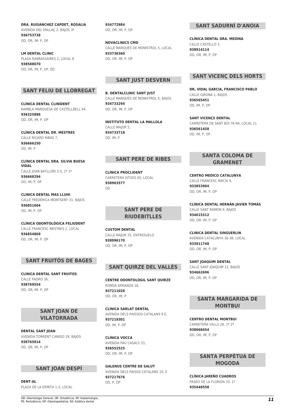**DRA. RUISANCHEZ CAPDET, ROSALIA** AVENIDA DEL ENLLAÇ 2, BAJOS 3ª **936753738** OD, OR, IM, P, OP

**LM DENTAL CLINIC** PLAZA RABBASSAIRES 2, LOCAL 8 **938588070** OD, OR, IM, P, OP, ED

#### **SANT FELIU DE LLOBREGAT**

**CLÍNICA DENTAL CLINIDENT** RAMBLA MARQUESA DE CASTELLBELL 44, **936325886** OD, OR, IM, P, OP

**CLÍNICA DENTAL DR. MESTRES** CALLE RICARD RIBAS 7, **936666250** OD, IM, P

**CLÍNICA DENTAL DRA. SILVIA BUESA VIDAL** CALLE JOAN BATLLORI 3-5, 1º 1ª **936668294** OD, IM, P, OP

**CLINICA DENTAL MAS LLUHI** CALLE FREDERICA MONTSENY 31, BAJOS **936851604** OD, IM, P, OP

**CLÍNICA ODONTOLÓGICA FELIUDENT** CALLE FRANCESC MESTRES 1, LOCAL **936854869** OD, OR, IM, P, OP

#### **SANT FRUITÓS DE BAGES**

**CLÍNICA DENTAL SANT FRUITOS** CALLE PADRO 36, **938769554** OD, OR, IM, P, OP

#### **SANT JOAN DE VILATORRADA**

**DENTAL SANT JOAN** AVENIDA TORRENT CANIGO 29, BAJOS **938765014** OD, OR, IM, P, OP

#### **SANT JOAN DESPÍ**

**DENT-AL** PLAZA DE LA ERMITA 1-3, LOCAL **934772984** OD, OR, IM, P, OP

**NOVACLINICS CMD** CALLE MARQUES DE MONISTROL 5, LOCAL **933736360** OD, OR, IM, P, OP

#### **SANT JUST DESVERN**

**B. DENTALCLINIC SANT JUST** CALLE MARQUES DE MONISTROL 5, BAJOS **934733294** OD, OR, IM, P, OP

**INSTITUTO DENTAL LA MALLOLA** CALLE MAIOR 5. **934733718** OD, IM, P

#### **SANT PERE DE RIBES**

**CLÍNICA PROCLIDENT** CARRETERA SITGES 65, LOCAL **938963577**  $\cap$ 

#### **SANT PERE DE RIUDEBITLLES**

**CUSTOM DENTAL** CALLE MAJOR 25, ENTRESUELO **938996170** OD, OR, IM, P, OP

#### **SANT QUIRZE DEL VALLÈS**

**CENTRE ODONTOLÒGIL SANT QUIRZE** RONDA ARRANOA 18, **937211028** OD, OR, IM, P

**CLÍNICA SARLAT DENTAL** AVENIDA DELS PAISSOS CATALANS 9 E, **937219301** OD, IM, P, OP

**CLÍNICA VOCCA** AVENIDA PAU CASALS 33, **936552525** OD, OR, IM, P, OP

**GALENUS CENTRE DE SALUT** AVENIDA DELS PAISOS CATALANS 10, E **937217676** OD, P, OP

#### **SANT SADURNÍ D'ANOIA**

**CLÍNICA DENTAL DRA. MEDINA** CALLE CASTELLÓ 3, **938914114** OD, OR, IM, P, OP

#### **SANT VICENÇ DELS HORTS**

**DR. VIDAL GARCIA, FRANCISCO PABLO** CALLE GIRONA 1, BAJOS **936565451** OD, IM, P, OP

**SANT VICENCS DENTAL** CARRETERA DE SANT BOI 76-94, LOCAL 11 **936561458** OD, IM, P, OP

#### **SANTA COLOMA DE GRAMENET**

**CENTRO MEDICO CATALUNYA** CALLE FRANCESC MACIA 9, **933853904** OD, OR, IM, P, OP

**CLÍNICA DENTAL HERNÁN JAVIER TOMÁS** CALLE SANT RAMON 9, BAJOS **934615312** OD, OR, IM, P, OP

**CLINICA DENTAL SINGUERLIN** AVENIDA CATALUNYA 36-38, LOCAL **933911748** OD, OR, IM, P, OP

**SANT JOAQUIM DENTAL** CALLE SANT JOAQUIM 22, BAJOS **934662696** OD, OR, IM, P, OP

#### **SANTA MARGARIDA DE MONTBUI**

**CENTRO DENTAL MONTBUI** CARRETERA VALLS 28, 1º 2ª **938068454** OD, OR, IM, P, OP

#### **SANTA PERPÈTUA DE MOGODA**

**CLÍNICA JAREÑO CUADROS** PASEO DE LA FLORIDA 33, 1º **935448558**

OD: Odontologia General, OR: Ortodòncia, IM: Implantologia, OD: Odontologia General, OR: Ortodòncia, IM: Implantologia, **11**<br>PE: Periodòncia, OP: Odontopediatria, ED: Estètica dental *1*1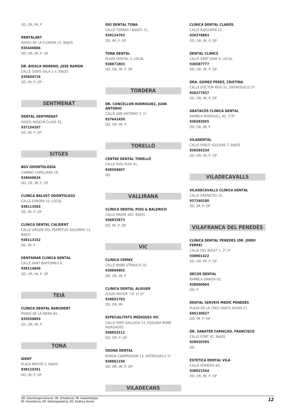OD, OR, IM, P

**DENTALART** PASEO DE LA FLORIDA 23, BAJOS **935446066** OD, OR, IM, P, OP

**DR. BIOSCA MORENO, JOSE RAMON** CALLE GENÍS SALA 1-3, BAJOS **935604716** OD, IM, P, OP

#### **SENTMENAT**

**DENTAL SENTMENAT** PASEO ANSELM CLAVE 81, **937154267** OD, IM, P, OP

#### **SITGES**

**BGV ODONTOLOGÍA** CAMINO CAPELLANS 18, **938949634** OD, OR, IM, P, OP

**CLÍNICA BALUST ODONTOLEGS** CALLE EUROPA 10, LOCAL **938113563** OD, IM, P, OP

**CLÍNICA DENTAL CALIDENT** CALLE VIRGEN DEL PERPETUO SOCORRO 13, BAJOS **938113152** OD, IM, P

**DENTAMAR CLÍNICA DENTAL** CALLE SANT BARTOMEU 9, **938114849** OD, OR, IM, P, OP

#### **TEIÀ**

**CLÍNICA DENTAL BARUDENT** PASEO DE LA RIERA 64, **935550893** OD, OR, IM, P

#### **TONA**

**IDENT** PLAZA MAYOR 5, BAJOS **938124351** OD, IM, P, OP

**IDO DENTAL TONA** CALLE TORRAS I BAGES 15, **938124703** OD, IM, P, OP

**TONA DENTAL** PLAZA HOSTAL 3, LOCAL **938871803** OD, OR, IM, P, OP

#### **TORDERA**

**DR. CONCELLON RODRIGUEZ, JUAN ANTONIO** CALLE SAN ANTONIO 3, 1º **937641450** OD, OR, IM, P

#### **TORELLÓ**

**CENTRE DENTAL TORELLÓ** CALLE PUIG RUVI 41, **938594607** OD

#### **VALLIRANA**

**CLÍNICA DENTAL PUIG & BALDRICH** CALLE MAJOR 283, BAJOS **936833873** OD, IM, P, OP

#### **VIC**

**CLÍNICA CEMAV** CALLE BISBE STRAUCH 16, **938894602** OD, OR, IM, P

**CLÍNICA DENTAL ALIGUER** PLAZA MAYOR 7-8, 1º 2ª **938851793** OD, OR, IM

**ESPECIALITATS MEDIQUES VIC** CALLE PARE GALLISSA 13, ESQUINA BISBE MORGADES **938852512** OD, OR, P, OP

**OSONA DENTAL** RONDA CAMPRODON 13, ENTRESUELO 1ª **938861194** OD, OR, IM, P, OP

**VILADECANS**

**CLÍNICA DENTAL CLARÓS** CALLE RAJOLERIA 12, **936378883** OD, OR, IM, P, OP

**DENTAL CLINICS** CALLE SANT JOAN 9, LOCAL **936587777** OD, OR, IM, P, OP

**DRA. GOMEZ PEREZ, CRISTINA**

CALLE DOCTOR REIG 51, ENTRESUELO 2ª **936377937** OD, OR, IM, P, OP

**GRATACÒS CLÍNICA DENTAL** RAMBLA MODOLELL 40, 1º3ª **936582045** OD, OR, IM, P

**VILADENTAL** CALLE PABLO IGLESIAS 7, BAJOS **936585234** OD, OR, IM, P, OP

#### **VILADECAVALLS**

**VILADECAVALLS CLÍNICA DENTAL** CALLE ORENETES 10, **937340180** OD, IM, P, OP

#### **VILAFRANCA DEL PENEDÈS**

**CLÍNICA DENTAL PENEDES (DR. JORDI FERRE)** CALLE DEL BOLET 1, 2º 2ª **938901422** OD, OR, IM, P, OP

**DECUS DENTAL** RAMBLA GIRADA 65, **938900904** OD, P

**DENTAL SERVEIS MEDIC PENEDÈS**

PLAZA DE LA CREU SANTA DIGNA 27, **695130927** OD, IM, P, OP

**DR. SABATER CAMACHO, FRANCISCO** CALLE FONT 42, BAJOS **938920395** OD

**ESTETICA DENTAL VILA** CALLE FERRERS 60, **938921544** OD, OR, IM, P, OP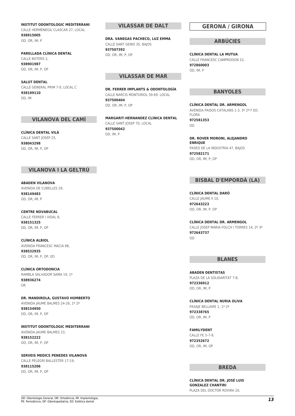**INSTITUT ODONTOLOGIC MEDITERRANI** CALLE HERMENEGIL CLASCAR 27, LOCAL **938915005** OD, OR, IM, P

#### **PARELLADA CLÍNICA DENTAL** CALLE BOTERS 2, **938901987** OD, OR, IM, P, OP

**SALUT DENTAL** CALLE GENERAL PRIM 7-9, LOCAL C **938199110** OD, IM

#### **VILANOVA DEL CAMÍ**

**CLÍNICA DENTAL VILÀ** CALLE SANT JOSEP 25, **938043298** OD, OR, IM, P, OP

#### **VILANOVA I LA GELTRÚ**

**ABADEN VILANOVA** AVENIDA DE CUBELLES 29, **938149483** OD, OR, IM, P

**CENTRE NOVABUCAL** CALLE FERRER I VIDAL 8, **938151325** OD, OR, IM, P, OP

**CLÍNICA ALBIOL** AVENIDA FRANCESC MACIA 88, **938532935** OD, OR, IM, P, OP, ED

**CLÍNICA ORTODONCIA** RAMBLA SALVADOR SAMA 19, 1º **938936274** OR

**DR. MANDIROLA, GUSTAVO HUMBERTO** AVENIDA JAUME BALMES 24-26, 1º 2ª **938154950** OD, OR, IM, P, OP

**INSTITUT ODONTOLOGIC MEDITERRANI** AVENIDA JAUME BALMES 23, **938152222** OD, OR, IM, P, OP

**SERVEIS MEDICS PENEDES VILANOVA**

CALLE PELEGRÍ BALLESTER 17-19, **938115206** OD, OR, IM, P, OP

#### **VILASSAR DE DALT**

**DRA. VANEGAS PACHECO, LUZ EMMA** CALLE SANT GENIS 35, BAJOS **937507392** OD, OR, IM, P, OP

#### **VILASSAR DE MAR**

**DR. FERRER IMPLANTS & ODONTOLOGÍA** CALLE NARCIS MONTURIOL 59-69, LOCAL **937500404** OD, OR, IM, P, OP

**MARGARIT-HERNANDEZ CLÍNICA DENTAL** CALLE SANT JOSEP 70, LOCAL **937500042** OD, IM, P

#### **GERONA / GIRONA**

#### **ARBÚCIES**

**CLÍNICA DENTAL LA MUTUA** CALLE FRANCESC CAMPRODON 52, **972860003** OD, IM, P

#### **BANYOLES**

**CLÍNICA DENTAL DR. ARMENGOL** AVENIDA PAISOS CATALANS 1-3, 3º 2ª F ED. FLORA **972581353** OD

**DR. ROVER MORONI, ALEJANDRO ENRIQUE** PASEO DE LA INDUSTRIA 47, BAJOS **972582171** OD, OR, IM, P, OP

#### **BISBAL D'EMPORDÀ (LA)**

**CLÍNICA DENTAL DARÓ** CALLE IAUME II 10. **972643223** OD, OR, IM, P, OP

**CLÍNICA DENTAL DR. ARMENGOL**

CALLE JOSEP MARIA FOLCH I TORRES 14, 2º 3ª **972643737** OD

#### **BLANES**

**ABADEN DENTISTAS** PLAZA DE LA SOLIDARITAT 7-8, **972336912** OD, OR, IM, P

**CLÍNICA DENTAL NURIA OLIVA** PASAJE BELLAIRE 1, 1º 2ª **972338765** OD, OR, IM, P

**FAMILYDENT**

CALLE FE 5-7-9, **972352672** OD, OR, IM, OP

#### **BREDA**

**CLÍNICA DENTAL DR. JOSÉ LUIS GONZALEZ CHANTIRI** PLAZA DEL DOCTOR ROVIRA 20,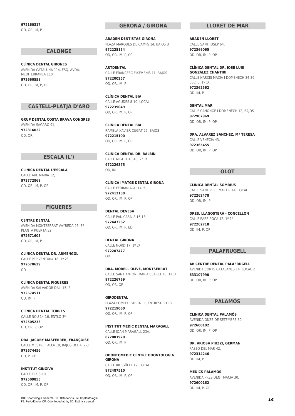**972160317** OD, OR, IM, P

#### **CALONGE**

**CLÍNICA DENTAL GIRONES** AVENIDA CATALUÑA 114, ESQ. AVDA. MEDITERRANEA 110 **972660558** OD, OR, IM, P, OP

#### **CASTELL-PLATJA D'ARO**

**GRUP DENTAL COSTA BRAVA CONGRES** AVENIDA SAGARO 91, **972816022** OD, OR

#### **ESCALA (L')**

**CLÍNICA DENTAL L'ESCALA** CALLE AVE MARIA 12, **972772869** OD, OR, IM, P, OP

#### **FIGUERES**

**CENTRE DENTAL** AVENIDA MONTSERRAT VAYREDA 26, 3ª PLANTA PUERTA 32 **972671605**

OD, OR, IM, P

**CLÍNICA DENTAL DR. ARMENGOL** CALLE PEP VENTURA 18, 19, 29 **972670629** OD

**CLÍNICA DENTAL FIGUERES** AVENIDA SALVADOR DALÍ 15, 2 **972674511** OD, IM, P

**CLÍNICA DENTAL TORRES** CALLE NOU 14-16, ENTLO 3ª **972505233** OD, OR, P, OP

**DRA. JACOBY MASFERRER, FRANÇOISE** CALLE MESTRE FALLA 19, BAJOS DCHA. 2-3 **972674456** OD, P, OP

**INSTITUT GINGIVA** CALLE ELX 8-10, **972509855** OD, OR, IM, P, OP

#### **GERONA / GIRONA**

**ABADEN DENTISTAS GIRONA** PLAZA MARQUES DE CAMPS 14, BAJOS B **972225154** OD, OR, IM, P, OP

**ARTDENTAL** CALLE FRANCESC EIXEMENIS 11, BAJOS **972200257** OD, OR, IM, P

**CLÍNICA DENTAL BIA** CALLE AGUDES 8-10, LOCAL **972239049** OD, OR, IM, P, OP

**CLÍNICA DENTAL BIA** RAMBLA XAVIER CUGAT 26, BAJOS **972215100** OD, OR, IM, P, OP

**CLÍNICA DENTAL DR. BALBIN** CALLE MIGDIA 46-48, 2° 1ª **972226375** OD, IM

**CLÍNICA IMATGE DENTAL GIRONA** CALLE FERRAN AGULLO 5 **972412180** OD, OR, IM, P, OP

**DENTAL DEVESA** CALLE PAU CASALS 16-18, **972447262** OD, OR, IM, P, ED

**DENTAL GIRONA** CALLE NORD 17, 1º 2ª **972207477** OR

**DRA. MORELL OLIVE, MONTSERRAT** CALLE SANT ANTONI MARIA CLARET 45, 1919 **972226769** OD, OR, OP

**GIRODENTAL** PLAZA POMPEU FABRA 11, ENTRESUELO B **972219060** OD, OR, IM, P, OP

**INSTITUT MEDIC DENTAL MARAGALL** CALLE JOAN MARAGALL 23A, **872081920** OD, OR, IM, P

**ODONTOMEDIC CENTRE ODONTOLOGÍA GIRONA** CALLE RIU GÜELL 19, LOCAL **972487510** OD, OR, IM, P, OP

#### **LLORET DE MAR**

**ABADEN LLORET** CALLE SANT JOSEP 64, **972369065** OD, OR, IM, P, OP

**CLÍNICA DENTAL DR. JOSÉ LUIS GONZALEZ CHANTIRI** CALLE NARCIS MACIA I DOMENECH 34-36, ESC. E, 1º 1ª **972362562** OD, IM, P

**DENTAL MAR** CALLE CANONGE I DOMENECH 12, BAJOS **972907969** OD, OR, IM, P, OP

**DRA. ALVAREZ SANCHEZ, Mª TERESA** CALLE VENECIA 43, **972365455** OD, OR, IM, P, OP

#### **OLOT**

**CLÍNICA DENTAL SOMRIUS** CALLE SANT PERE MARTIR 44, LOCAL **972262478** OD, OR, IM, P

**DRES. LLAGOSTERA - CONCELLON** CALLE PARE ROCA 12, 19, 19 **972262718** OD, IM, P, OP

#### **PALAFRUGELL**

**AB CENTRE DENTAL PALAFRUGELL** AVENIDA CORTS CATALANES 14, LOCAL 2 **633107990** OD, OR, IM, P, OP

#### **PALAMÓS**

**CLINICA DENTAL PALAMÓS** AVENIDA ONZE DE SETEMBRE 30, **972600102** OD, OR, IM, P, OP

**DR. ARIOSA PIUZZI, GERMAN** PASEO DEL MAR 42, **972314246** OD, IM, P

**MÈDICS PALAMÓS** AVENIDA PRESIDENT MACIÀ 30, **972600162** OD, IM, P, OP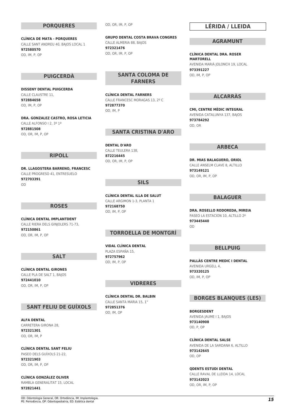#### **PORQUERES**

**CLÍNICA DE MATA - PORQUERES** CALLE SANT ANDREU 40, BAJOS LOCAL 1 **972580570** OD, IM, P, OP

#### **PUIGCERDÀ**

**DISSENY DENTAL PUIGCERDA** CALLE CLAUSTRE 11, **972884658** OD, IM, P, OP

**DRA. GONZALEZ CASTRO, ROSA LETICIA** CALLE ALFONSO I 2, 3º 1ª **972881508** OD, OR, IM, P, OP

#### **RIPOLL**

**DR. LLAGOSTERA BARRENO, FRANCESC** CALLE PROGRESO 41, ENTRESUELO **972703391** OD

#### **ROSES**

**CLÍNICA DENTAL IMPLANTDENT** CALLE RIERA DELS GINJOLERS 71-73, **972150861** OD, OR, IM, P, OP

#### **SALT**

**CLÍNICA DENTAL GIRONES** CALLE PLA DE SALT 1, BAJOS **972441010** OD, OR, IM, P, OP

#### **SANT FELIU DE GUÍXOLS**

**ALFA DENTAL** CARRETERA GIRONA 28, **972321301** OD, OR, IM, P

**CLÍNICA DENTAL SANT FELIU** PASEO DELS GUÍXOLS 21-22, **972321903** OD, OR, IM, P, OP

**CLÍNICA GONZÁLEZ OLIVER** RAMBLA GENERALITAT 15, LOCAL **972821441**

OD, OR, IM, P, OP

**GRUPO DENTAL COSTA BRAVA CONGRES** CALLE ALMERIA 88, BAJOS **972321476** OD, OR, IM, P, OP

#### **SANTA COLOMA DE FARNERS**

**CLÍNICA DENTAL FARNERS** CALLE FRANCESC MORAGAS 13, 2º C **972877370** OD, IM, P

#### **SANTA CRISTINA D'ARO**

**DENTAL D'ARO** CALLE TELLIERA 138 **872216445** OD, OR, IM, P, OP

#### **SILS**

**CLÍNICA DENTAL ILLA DE SALUT** CALLE ARGIMON 1-3, PLANTA 1 **972168750** OD, IM, P, OP

#### **TORROELLA DE MONTGRÍ**

**VIDAL CLÍNICA DENTAL** PLAZA ESPAÑA 15, **972757962** OD, IM, P, OP

#### **VIDRERES**

**CLÍNICA DENTAL DR. BALBIN** CALLE SANTA MARIA 15, 1° **972851376** OD, IM, OP

#### **LÉRIDA / LLEIDA**

#### **AGRAMUNT**

**CLÍNICA DENTAL DRA. ROSER MARTORELL** AVENIDA MARIÀ JOLONCH 19, LOCAL **973391227** OD, IM, P, OP

#### **ALCARRÀS**

**CMI, CENTRE MÈDIC INTEGRAL** AVENIDA CATALUNYA 137, BAJOS **973784292** OD, OR

#### **ARBECA**

**DR. MIAS BALAGUERO, ORIOL** CALLE ANSELM CLAVE 8, ALTILLO **973149121** OD, OR, IM, P, OP

#### **BALAGUER**

**DRA. ROSELLO RODOREDA, MIREIA** PASEO LA ESTACION 10, ALTILLO 2ª **973445440** OD

#### **BELLPUIG**

**PALLÀS CENTRE MEDIC I DENTAL** AVENIDA URGELL 4, **973320125** OD, IM, P, OP

#### **BORGES BLANQUES (LES)**

**BORGESDENT** AVENIDA JAUME I 1, BAJOS **973140908** OD, P, OP

**CLÍNICA DENTAL SALSE** AVENIDA DE LA SARDANA 6, ALTILLO **973142645** OD, OP

**QDENTS ESTUDI DENTAL** CALLE RAVAL DE LLEIDA 14, LOCAL **973142023** OD, OR, IM, P, OP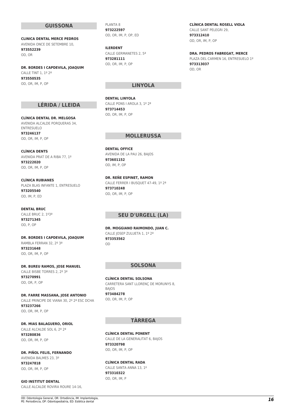#### **GUISSONA**

**CLINICA DENTAL MERCE PEDROS** AVENIDA ONCE DE SETEMBRE 10, **973552239** OD, OR

**DR. BORDES I CAPDEVILA, JOAQUIM** CALLE TINT 1, 1º 2ª **973550535** OD, OR, IM, P, OP

#### **LÉRIDA / LLEIDA**

**CLÍNICA DENTAL DR. MELGOSA** AVENIDA ALCALDE PORQUERAS 34, ENTRESUELO **973246137** OD, OR, IM, P, OP

**CLÍNICA DENTS** AVENIDA PRAT DE A RIBA 77, 1º **973222020** OD, OR, IM, P, OP

**CLÍNICA RUBIANES** PLAZA BLAS INFANTE 1, ENTRESUELO **973205540** OD, IM, P, ED

**DENTAL BRUC** CALLE BRUC 2, 1º3ª **973271345** OD, P, OP

**DR. BORDES I CAPDEVILA, JOAQUIM** RAMBLA FERRAN 32, 2º 3ª **973231648** OD, OR, IM, P, OP

**DR. BUREU RAMOS, JOSE MANUEL** CALLE BISBE TORRES 2, 2º 3ª **973270991** OD, OR, P, OP

**DR. FARRE MASSANA, JOSE ANTONIO** CALLE PRINCIPE DE VIANA 30, 2º 2ª ESC DCHA **973237266** OD, OR, IM, P, OP

**DR. MIAS BALAGUERO, ORIOL** CALLE ALCALDE SOL 6, 2º 2ª **973280836** OD, OR, IM, P, OP

**DR. PIÑOL FELIS, FERNANDO** AVENIDA BALMES 23, 3º **973247818** OD, OR, IM, P, OP

**GIO INSTITUT DENTAL** CALLE ALCALDE ROVIRA ROURE 14-16, PLANTA 8 **973222597** OD, OR, IM, P, OP, ED

**ILERDENT** CALLE GERMANETES 2, 5ª **973281111** OD, OR, IM, P, OP

#### **LINYOLA**

**DENTAL LINYOLA** CALLE PONS I AROLA 3, 1º 2ª **973714453** OD, OR, IM, P, OP

#### **MOLLERUSSA**

**DENTAL OFFICE** AVENIDA DE LA PAU 26, BAJOS **973601152** OD, IM, P, OP

**DR. REÑE ESPINET, RAMON** CALLE FERRER I BUSQUET 47-49, 1º 2ª **973710248** OD, OR, IM, P, OP

#### **SEU D'URGELL (LA)**

**DR. MOGGIANO RAIMONDO, JUAN C.** CALLE JOSEP ZULUETA 1, 1º 2ª **973353562** OD

#### **SOLSONA**

**CLÍNICA DENTAL SOLSONA** CARRETERA SANT LLORENÇ DE MORUNYS 8, BAJOS **973484278** OD, OR, IM, P, OP

#### **TÀRREGA**

**CLÍNICA DENTAL PONENT** CALLE DE LA GENERALITAT 6, BAJOS **973320798** OD, OR, IM, P, OP

**CLÍNICA DENTAL RADA**

CALLE SANTA ANNA 13, 1º **973310322** OD, OR, IM, P

**CLÍNICA DENTAL ROSELL VIOLA** CALLE SANT PELEGRI 29, **973312410** OD, OR, IM, P, OP

**DRA. PEDROS FABREGAT, MERCE**

PLAZA DEL CARMEN 16, ENTRESUELO 1º **973313037** OD, OR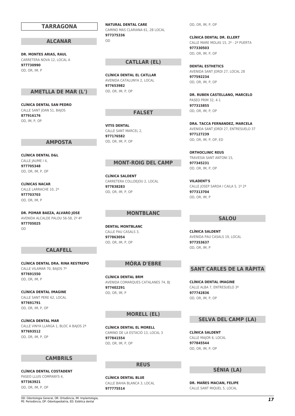#### **DR. MONTES ARIAS, RAUL** CARRETERA NOVA 12, LOCAL A

**977730990** OD, OR, IM, P

#### **AMETLLA DE MAR (L')**

**TARRAGONA**

**ALCANAR**

**CLÍNICA DENTAL SAN PEDRO** CALLE SANT JOAN 51, BAJOS **877916176** OD, IM, P, OP

#### **AMPOSTA**

**CLÍNICA DENTAL D&L** CALLE JAUME 14. **977705348** OD, OR, IM, P, OP

**CLÍNICAS NACAR** CALLE LARRACHE 10, 2º **977703703** OD, OR, IM, P

**DR. POMAR BAEZA, ALVARO JOSE** AVENIDA ALCALDE PALOU 56-58, 2º 4ª **977705025** OD

#### **CALAFELL**

**CLÍNICA DENTAL DRA. RINA RESTREPO** CALLE VILAMAR 70, BAJOS 7º **977691550** OD, OR, IM, P

**CLÍNICA DENTAL IMAGINE** CALLE SANT PERE 62, LOCAL **977691791** OD, OR, IM, P, OP

**CLÍNICA DENTAL MAR** CALLE VINYA LLARGA 1, BLOC A BAJOS 2ª **977693512** OD, OR, IM, P, OP

#### **CAMBRILS**

**CLÍNICA DENTAL COSTADENT** PASEO LLUIS COMPANYS 4, **977363921** OD, OR, IM, P, OP

**NATURAL DENTAL CARE** CAMINO MAS CLARIANA 61, 2B LOCAL **977375336** OD

#### **CATLLAR (EL)**

**CLÍNICA DENTAL EL CATLLAR** AVENIDA CATALUNYA 2, LOCAL **977653982** OD, OR, IM, P, OP

#### **FALSET**

**VITIS DENTAL** CALLE SANT MARCEL 2, **977176582** OD, OR, IM, P, OP

#### **MONT-ROIG DEL CAMP**

**CLÍNICA SALDENT** CARRETERA COLLDEJOU 2, LOCAL **977838283** OD, OR, IM, P, OP

#### **MONTBLANC**

**DENTAL MONTBLANC** CALLE PAU CASALS 3, **977863054** OD, OR, IM, P, OP

#### **MÓRA D'EBRE**

**CLÍNICA DENTAL BRM** AVENIDA COMARQUES CATALANES 74, BJ **977402291** OD, OR, IM, P

#### **MORELL (EL)**

**CLÍNICA DENTAL EL MORELL** CAMINO DE LA ESTACIÓ 13, LOCAL 3 **977841554** OD, OR, IM, P, OP

#### **REUS**

**CLÍNICA DENTAL BLUE** CALLE BAHIA BLANCA 3, LOCAL **977775514**

OD, OR, IM, P, OP

**CLÍNICA DENTAL DR. ELLERT** CALLE MARE MOLAS 15, 2º - 2ª PUERTA **977330503** OD, OR, IM, P, OP

**DENTAL ESTHETICS** AVENIDA SANT JORDI 27, LOCAL 28 **977592234** OD, OR, IM, P, OP

**DR. RUBEN CASTELLANO, MARCELO** PASEO PRIM 32, 4-1 **977315855** OD, OR, IM, P, OP

**DRA. TACCA FERNANDEZ, MARCELA** AVENIDA SANT JORDI 27, ENTRESUELO 37 **977127239** OD, OR, IM, P, OP, ED

**ORTHOCLINIC REUS** TRAVESIA SANT ANTONI 15, **977345231** OD, OR, IM, P, OP

**VILADENT'S** CALLE JOSEP SARDA I CAILA 5, 1º 2ª **977313704** OD, OR, IM, P

#### **SALOU**

**CLÍNICA SALDENT** AVENIDA PAU CASALS 19, LOCAL **977353637** OD, OR, IM, P

#### **SANT CARLES DE LA RÀPITA**

**CLÍNICA DENTAL IMAGINE** CALLE ALBA 7, ENTRESUELO 3ª **977742836** OD, OR, IM, P, OP

#### **SELVA DEL CAMP (LA)**

**CLÍNICA SALDENT** CALLE MAJOR 6, LOCAL **977845544** OD, OR, IM, P, OP

#### **SÉNIA (LA)**

**DR. MAÑES MACIAN, FELIPE** CALLE SANT MIQUEL 5, LOCAL

OD: Odontologia General, OR: Ortodòncia, IM: Implantologia, OD: Odontologia General, OR: Ortodòncia, IM: Implantologia, **17**<br>PE: Periodòncia, OP: Odontopediatria, ED: Estètica dental *17*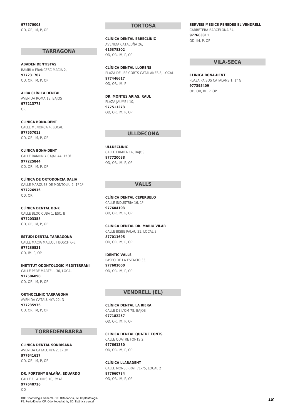**977570003** OD, OR, IM, P, OP

#### **TARRAGONA**

**ABADEN DENTISTAS** RAMBLA FRANCESC MACIÀ 2, **977231707** OD, OR, IM, P, OP

**ALBA CLÍNICA DENTAL** AVENIDA ROMA 18, BAJOS **977213775** OR

**CLINICA BONA-DENT** CALLE MENORCA 4, LOCAL **977557013** OD, OR, IM, P, OP

#### **CLINICA BONA-DENT** CALLE RAMON Y CAJAL 44, 1º 3ª

**977225844** OD, OR, IM, P, OP

**CLÍNICA DE ORTODONCIA DALIA** CALLE MARQUES DE MONTOLIU 2, 1º 1ª **977226916** OD, OR

**CLÍNICA DENTAL BO-K** CALLE BLOC CUBA 1, ESC. B **977203358** OD, OR, IM, P, OP

**ESTUDI DENTAL TARRAGONA** CALLE MACIA MALLOL I BOSCH 6-8, **977230531** OD, IM, P, OP

**INSTITUT ODONTOLOGIC MEDITERRANI** CALLE PERE MARTELL 36, LOCAL **977506090** OD, OR, IM, P, OP

#### **ORTHOCLINIC TARRAGONA**

AVENIDA CATALUNYA 22, D **977235976** OD, OR, IM, P, OP

#### **TORREDEMBARRA**

**CLÍNICA DENTAL SONRISANA** AVENIDA CATALUNYA 2, 1º 3ª **977641617** OD, OR, IM, P, OP

**DR. FORTUNY BALAÑA, EDUARDO** CALLE FILADORS 10, 3º 4ª **977640716** OD

#### **TORTOSA**

**CLÍNICA DENTAL EBRECLÍNIC** AVENIDA CATALUÑA 26, **615378302** OD, OR, IM, P, OP

**CLÍNICA DENTAL LLORENS** PLAZA DE LES CORTS CATALANES 8, LOCAL **977446617** OD, OR, IM, P

**DR. MONTES ARIAS, RAUL** PLAZA IAUME I 10. **977511273** OD, OR, IM, P, OP

#### **ULLDECONA**

**ULLDECLINIC** CALLE ERMITA 14, BAJOS **977720088** OD, OR, IM, P, OP

#### **VALLS**

**CLÍNICA DENTAL CEPERUELO** CALLE INDUSTRIA 16, 1º **977604103** OD, OR, IM, P, OP

#### **CLÍNICA DENTAL DR. MARIO VILAR**

CALLE BISBE PALAU 21, LOCAL 3 **877011695** OD, OR, IM, P, OP

#### **IDENTIC VALLS**

PASEO DE LA ESTACIO 33, **977601000** OD, OR, IM, P, OP

#### **VENDRELL (EL)**

#### **CLÍNICA DENTAL LA RIERA**

CALLE DE L'OM 78, BAJOS **977182257** OD, OR, IM, P, OP

#### **CLÍNICA DENTAL QUATRE FONTS**

CALLE QUATRE FONTS 2, **977661380** OD, OR, IM, P, OP

**CLÍNICA LLARADENT**

CALLE MONSERRAT 71-75, LOCAL 2 **977660734** OD, OR, IM, P, OP

#### **SERVEIS MEDICS PENEDES EL VENDRELL** CARRETERA BARCELONA 34, **977663311** OD, IM, P, OP

#### **VILA-SECA**

**CLINICA BONA-DENT** PLAZA PAISOS CATALANS 1, 1° G **977395409** OD, OR, IM, P, OP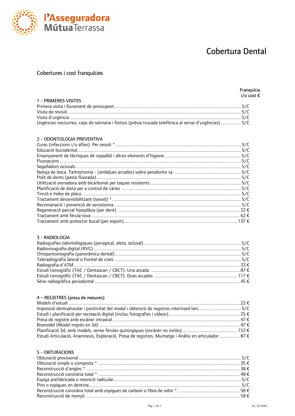

### Cobertures i cost franquícies

l'Asseguradora<br>MútuaTerrassa

Franquícia  $i$  /  $i$  cost  $\epsilon$ 

| 1 - PRIMERES VISITES                                                                                  | . |
|-------------------------------------------------------------------------------------------------------|---|
|                                                                                                       |   |
|                                                                                                       |   |
|                                                                                                       |   |
|                                                                                                       |   |
| Urgències nocturnes, caps de setmana i festius (prèvia trucada telefònica al servei d'urgències)  S/C |   |

#### 2 - ODONTOLOGIA PREVENTIVA

#### 3 - RADIOLOGIA

#### 4 - REGISTRES (presa de mesures)

| Estudi Articulació, Anamnesis, Exploració, Presa de registres, Muntatge i Anàlisi en articulador  87 € |  |
|--------------------------------------------------------------------------------------------------------|--|

#### 5 - OBTURACIONS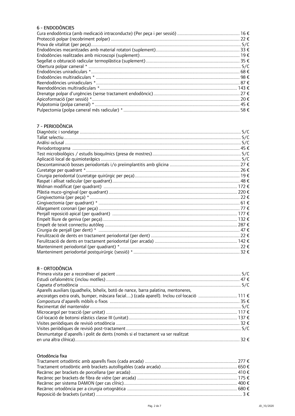#### 6 - ENDODÒNCIES

| 58€ |
|-----|

#### 7 - PERIODÒNCIA

| S/C |
|-----|
|     |
|     |
|     |
|     |
|     |
|     |
|     |
|     |
|     |
|     |
|     |
|     |
|     |
|     |
|     |
|     |
|     |
|     |
|     |
|     |
|     |
|     |

#### 8 - ORTODÒNCIA

| Aparells auxiliars (quadhelix, bihelix, botó de nance, barra palatina, mentoneres,        |  |
|-------------------------------------------------------------------------------------------|--|
| ancoratges extra orals, bumper, màscara facial) (cada aparell). Inclou col·locació  111 € |  |
|                                                                                           |  |
|                                                                                           |  |
|                                                                                           |  |
|                                                                                           |  |
|                                                                                           |  |
|                                                                                           |  |
| Desmuntatge d'aparells i polit de dents (només si el tractament va ser realitzat          |  |
|                                                                                           |  |
|                                                                                           |  |

#### Ortodòncia fixa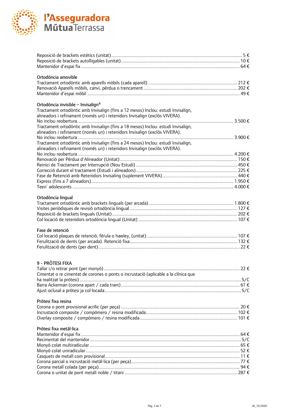

| Ortodòncia amovible                                                                                                                 |  |
|-------------------------------------------------------------------------------------------------------------------------------------|--|
|                                                                                                                                     |  |
|                                                                                                                                     |  |
|                                                                                                                                     |  |
|                                                                                                                                     |  |
| Ortodòncia invisible - Invisalign <sup>®</sup><br>Tractament ortodontic amb Invisalign (fins a 12 mesos) Inclou: estudi Invisalign, |  |
| alineadors i refinament (només un) i retenidors Invisalign (exclòs VIVERA).                                                         |  |
|                                                                                                                                     |  |
| Tractament ortodòntic amb Invisalign (fins a 18 mesos) Inclou: estudi Invisalign,                                                   |  |
| alineadors i refinament (només un) i retenidors Invisalign (exclòs VIVERA).                                                         |  |
|                                                                                                                                     |  |
| Tractament ortodòntic amb Invisalign (fins a 24 mesos) Inclou: estudi Invisalign,                                                   |  |
| alineadors i refinament (només un) i retenidors Invisalign (exclòs VIVERA).                                                         |  |
|                                                                                                                                     |  |
|                                                                                                                                     |  |
|                                                                                                                                     |  |
|                                                                                                                                     |  |
|                                                                                                                                     |  |
|                                                                                                                                     |  |
|                                                                                                                                     |  |
| Ortodòncia lingual                                                                                                                  |  |
|                                                                                                                                     |  |
|                                                                                                                                     |  |
|                                                                                                                                     |  |
|                                                                                                                                     |  |
|                                                                                                                                     |  |
| Fase de retenció                                                                                                                    |  |
|                                                                                                                                     |  |
|                                                                                                                                     |  |
|                                                                                                                                     |  |
|                                                                                                                                     |  |
| 9 - PRÒTESI FIXA                                                                                                                    |  |
|                                                                                                                                     |  |
| Cimentat o re cimentat de corones o ponts o incrustació (aplicable a la clínica que                                                 |  |
|                                                                                                                                     |  |
|                                                                                                                                     |  |
|                                                                                                                                     |  |
|                                                                                                                                     |  |
| Pròtesi fixa resina                                                                                                                 |  |
|                                                                                                                                     |  |
|                                                                                                                                     |  |
|                                                                                                                                     |  |
| Pròtesi fixa metàl·lica                                                                                                             |  |
|                                                                                                                                     |  |
|                                                                                                                                     |  |
|                                                                                                                                     |  |
|                                                                                                                                     |  |
|                                                                                                                                     |  |
|                                                                                                                                     |  |
|                                                                                                                                     |  |
|                                                                                                                                     |  |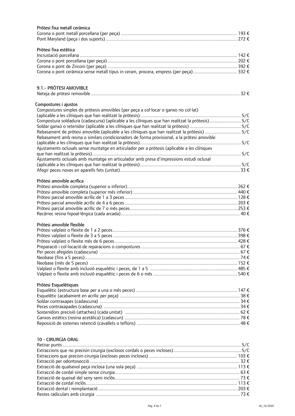| Pròtesi fixa metall ceràmica                                                                    |  |
|-------------------------------------------------------------------------------------------------|--|
|                                                                                                 |  |
|                                                                                                 |  |
| Pròtesi fixa estètica                                                                           |  |
|                                                                                                 |  |
|                                                                                                 |  |
|                                                                                                 |  |
|                                                                                                 |  |
|                                                                                                 |  |
| 9.1.- PRÒTESI AMOVIBLE                                                                          |  |
|                                                                                                 |  |
| Compostures i ajustos                                                                           |  |
| Compostures simples de pròtesis amovibles (per peça a col·locar o ganxo no col·lat)             |  |
|                                                                                                 |  |
| Compostura soldadura (cadascuna) (aplicable a les clíniques que han realitzat la pròtesis)  S/C |  |
|                                                                                                 |  |
| Rebasament de pròtesi amovible (aplicable a les clíniques que han realitzat la pròtesis)  S/C   |  |
| Rebasament amb resina o similars condicionadors de forma provisional, a la pròtesi amovible     |  |
|                                                                                                 |  |
| Ajustaments oclusals sense muntatge en articulador per a pròtesis (aplicable a les clíniques    |  |
|                                                                                                 |  |
| Ajustaments oclusals amb muntatge en articulador amb presa d'impressions estudi oclusal         |  |
|                                                                                                 |  |
|                                                                                                 |  |
|                                                                                                 |  |
| Pròtesi amovible acrílica                                                                       |  |
|                                                                                                 |  |
|                                                                                                 |  |
|                                                                                                 |  |
|                                                                                                 |  |
|                                                                                                 |  |
|                                                                                                 |  |
| Pròtesi amovible flexible                                                                       |  |
|                                                                                                 |  |
|                                                                                                 |  |
|                                                                                                 |  |
|                                                                                                 |  |
|                                                                                                 |  |
|                                                                                                 |  |
|                                                                                                 |  |
|                                                                                                 |  |
|                                                                                                 |  |
|                                                                                                 |  |
| Pròtesi Esquelètiques                                                                           |  |
|                                                                                                 |  |
|                                                                                                 |  |
|                                                                                                 |  |
|                                                                                                 |  |
|                                                                                                 |  |
|                                                                                                 |  |
|                                                                                                 |  |
|                                                                                                 |  |
|                                                                                                 |  |
| 10 - CIRURGIA ORAL                                                                              |  |
|                                                                                                 |  |
|                                                                                                 |  |
|                                                                                                 |  |
|                                                                                                 |  |
|                                                                                                 |  |
|                                                                                                 |  |
|                                                                                                 |  |
|                                                                                                 |  |

Extracciódentalireimplantació...............................................................................................................2033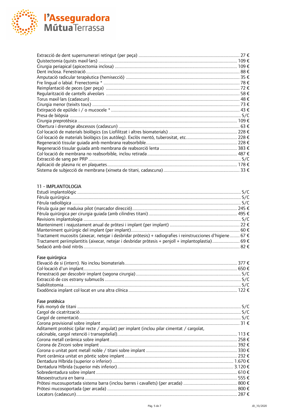

#### 11 - IMPLANTOLOGIA

| Tractament mucositis (aixecar, netejar i desbridar pròtesis) + radiografies i reinstrucciones d'higiene 67 € |  |
|--------------------------------------------------------------------------------------------------------------|--|
| Tractament periimplantitis (aixecar, netejar i desbridar pròtesis + penjoll + implantoplastia)  69 €         |  |
|                                                                                                              |  |
| Fase quirúrgica                                                                                              |  |
|                                                                                                              |  |
|                                                                                                              |  |
|                                                                                                              |  |

#### Fase protèsica

| Aditament protèsic (pilar recte / angulat) per implant (inclou pilar cimentat / cargolat, |  |
|-------------------------------------------------------------------------------------------|--|
|                                                                                           |  |
|                                                                                           |  |
|                                                                                           |  |
|                                                                                           |  |
|                                                                                           |  |
|                                                                                           |  |
|                                                                                           |  |
|                                                                                           |  |
|                                                                                           |  |
|                                                                                           |  |
|                                                                                           |  |
|                                                                                           |  |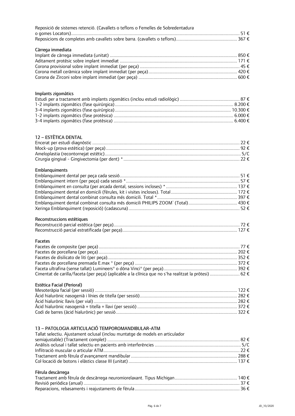| Reposició de sistemes retenció. (Cavallets o teflons o Femelles de Sobredentadura                     |  |
|-------------------------------------------------------------------------------------------------------|--|
| Càrrega immediata                                                                                     |  |
|                                                                                                       |  |
|                                                                                                       |  |
|                                                                                                       |  |
|                                                                                                       |  |
| Implants zigomàtics                                                                                   |  |
|                                                                                                       |  |
|                                                                                                       |  |
|                                                                                                       |  |
|                                                                                                       |  |
| 12 - ESTÈTICA DENTAL                                                                                  |  |
|                                                                                                       |  |
|                                                                                                       |  |
|                                                                                                       |  |
|                                                                                                       |  |
| Emblanquiments                                                                                        |  |
|                                                                                                       |  |
|                                                                                                       |  |
|                                                                                                       |  |
|                                                                                                       |  |
|                                                                                                       |  |
|                                                                                                       |  |
|                                                                                                       |  |
| Reconstruccions estètiques                                                                            |  |
|                                                                                                       |  |
| <b>Facetes</b>                                                                                        |  |
|                                                                                                       |  |
|                                                                                                       |  |
|                                                                                                       |  |
|                                                                                                       |  |
| Cimentat de carilla/faceta (per peça) (aplicable a la clínica que no s'ha realitzat la pròtesi)  62 € |  |
|                                                                                                       |  |
| Estètica Facial (Perioral)                                                                            |  |
|                                                                                                       |  |
|                                                                                                       |  |
| Àcid hialurònic nasogenià + titella + llavi (per sessió) ………………………………………………………………… 372 €              |  |
|                                                                                                       |  |
| 13 - PATOLOGIA ARTICULACIÓ TEMPOROMANDIBULAR-ATM                                                      |  |
| Tallat selectiu. Ajustament oclusal (inclou muntatge de models en articulador                         |  |
|                                                                                                       |  |
|                                                                                                       |  |
|                                                                                                       |  |
|                                                                                                       |  |
|                                                                                                       |  |
| Fèrula descàrrega                                                                                     |  |
|                                                                                                       |  |
|                                                                                                       |  |
|                                                                                                       |  |